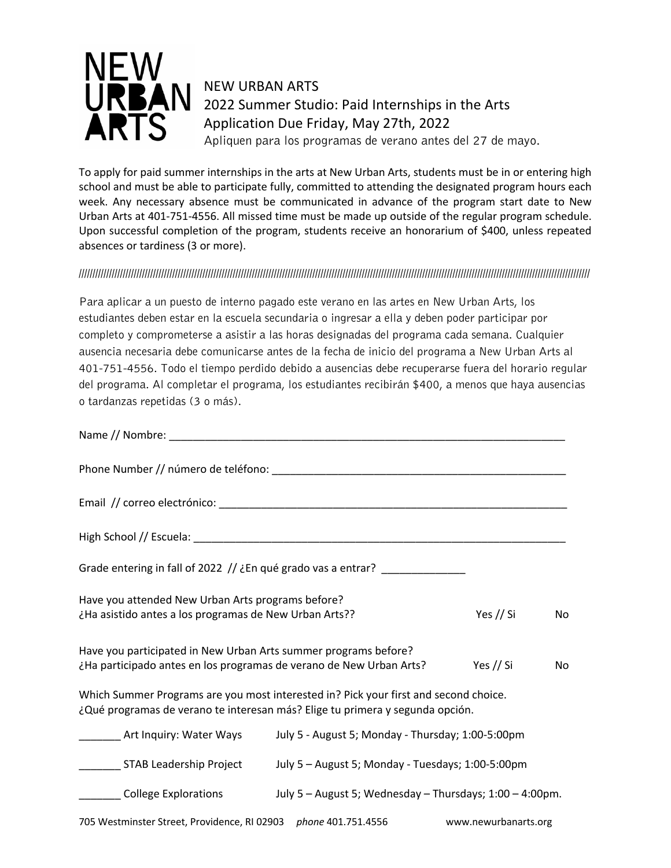

NEW URBAN ARTS 2022 Summer Studio: Paid Internships in the Arts Application Due Friday, May 27th, 2022 Apliquen para los programas de verano antes del 27 de mayo.

To apply for paid summer internships in the arts at New Urban Arts, students must be in or entering high school and must be able to participate fully, committed to attending the designated program hours each week. Any necessary absence must be communicated in advance of the program start date to New Urban Arts at 401-751-4556. All missed time must be made up outside of the regular program schedule. Upon successful completion of the program, students receive an honorarium of \$400, unless repeated absences or tardiness (3 or more).

## //////////////////////////////////////////////////////////////////////////////////////////////////////////////////////////////////////////////////////////////////////////////////////////

Para aplicar a un puesto de interno pagado este verano en las artes en New Urban Arts, los estudiantes deben estar en la escuela secundaria o ingresar a ella y deben poder participar por completo y comprometerse a asistir a las horas designadas del programa cada semana. Cualquier ausencia necesaria debe comunicarse antes de la fecha de inicio del programa a New Urban Arts al 401-751-4556. Todo el tiempo perdido debido a ausencias debe recuperarse fuera del horario regular del programa. Al completar el programa, los estudiantes recibirán \$400, a menos que haya ausencias o tardanzas repetidas (3 o más).

|                                                                                                                                        | Grade entering in fall of 2022 // ¿En qué grado vas a entrar? __________________                                                                                      |                      |     |
|----------------------------------------------------------------------------------------------------------------------------------------|-----------------------------------------------------------------------------------------------------------------------------------------------------------------------|----------------------|-----|
| Have you attended New Urban Arts programs before?<br>¿Ha asistido antes a los programas de New Urban Arts??                            |                                                                                                                                                                       | Yes // Si            | No  |
| Have you participated in New Urban Arts summer programs before?<br>¿Ha participado antes en los programas de verano de New Urban Arts? |                                                                                                                                                                       | Yes // Si            | No. |
|                                                                                                                                        | Which Summer Programs are you most interested in? Pick your first and second choice.<br>¿Qué programas de verano te interesan más? Elige tu primera y segunda opción. |                      |     |
| __________ Art Inquiry: Water Ways                                                                                                     | July 5 - August 5; Monday - Thursday; 1:00-5:00pm                                                                                                                     |                      |     |
| ___________ STAB Leadership Project                                                                                                    | July 5 - August 5; Monday - Tuesdays; 1:00-5:00pm                                                                                                                     |                      |     |
|                                                                                                                                        | College Explorations July 5 - August 5; Wednesday - Thursdays; 1:00 - 4:00pm.                                                                                         |                      |     |
| 705 Westminster Street, Providence, RI 02903 phone 401.751.4556                                                                        |                                                                                                                                                                       | www.newurbanarts.org |     |